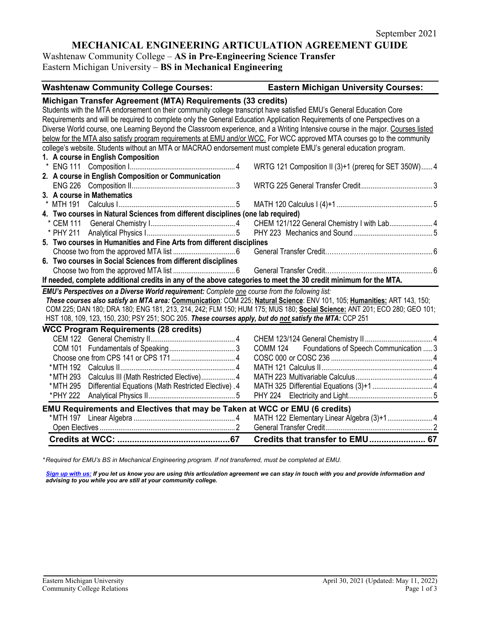# **MECHANICAL ENGINEERING ARTICULATION AGREEMENT GUIDE**

Washtenaw Community College – **AS in Pre-Engineering Science Transfer** Eastern Michigan University – **BS in Mechanical Engineering**

| <b>Washtenaw Community College Courses:</b>                                                                                                                                                                                                          | <b>Eastern Michigan University Courses:</b>           |  |  |
|------------------------------------------------------------------------------------------------------------------------------------------------------------------------------------------------------------------------------------------------------|-------------------------------------------------------|--|--|
| Michigan Transfer Agreement (MTA) Requirements (33 credits)                                                                                                                                                                                          |                                                       |  |  |
| Students with the MTA endorsement on their community college transcript have satisfied EMU's General Education Core                                                                                                                                  |                                                       |  |  |
| Requirements and will be required to complete only the General Education Application Requirements of one Perspectives on a                                                                                                                           |                                                       |  |  |
| Diverse World course, one Learning Beyond the Classroom experience, and a Writing Intensive course in the major. Courses listed                                                                                                                      |                                                       |  |  |
| below for the MTA also satisfy program requirements at EMU and/or WCC. For WCC approved MTA courses go to the community                                                                                                                              |                                                       |  |  |
| college's website. Students without an MTA or MACRAO endorsement must complete EMU's general education program.                                                                                                                                      |                                                       |  |  |
| 1. A course in English Composition                                                                                                                                                                                                                   |                                                       |  |  |
|                                                                                                                                                                                                                                                      | WRTG 121 Composition II (3)+1 (prereq for SET 350W) 4 |  |  |
| 2. A course in English Composition or Communication                                                                                                                                                                                                  |                                                       |  |  |
|                                                                                                                                                                                                                                                      |                                                       |  |  |
| 3. A course in Mathematics                                                                                                                                                                                                                           |                                                       |  |  |
|                                                                                                                                                                                                                                                      |                                                       |  |  |
| 4. Two courses in Natural Sciences from different disciplines (one lab required)                                                                                                                                                                     |                                                       |  |  |
|                                                                                                                                                                                                                                                      | CHEM 121/122 General Chemistry I with Lab 4           |  |  |
|                                                                                                                                                                                                                                                      |                                                       |  |  |
| 5. Two courses in Humanities and Fine Arts from different disciplines                                                                                                                                                                                |                                                       |  |  |
|                                                                                                                                                                                                                                                      |                                                       |  |  |
| 6. Two courses in Social Sciences from different disciplines                                                                                                                                                                                         |                                                       |  |  |
|                                                                                                                                                                                                                                                      |                                                       |  |  |
| If needed, complete additional credits in any of the above categories to meet the 30 credit minimum for the MTA.                                                                                                                                     |                                                       |  |  |
| EMU's Perspectives on a Diverse World requirement: Complete one course from the following list:                                                                                                                                                      |                                                       |  |  |
| These courses also satisfy an MTA area: Communication: COM 225; Natural Science: ENV 101, 105; Humanities: ART 143, 150;<br>COM 225; DAN 180; DRA 180; ENG 181, 213, 214, 242; FLM 150; HUM 175; MUS 180; Social Science: ANT 201; ECO 280; GEO 101; |                                                       |  |  |
| HST 108, 109, 123, 150, 230; PSY 251; SOC 205. These courses apply, but do not satisfy the MTA: CCP 251                                                                                                                                              |                                                       |  |  |
|                                                                                                                                                                                                                                                      |                                                       |  |  |
| <b>WCC Program Requirements (28 credits)</b>                                                                                                                                                                                                         |                                                       |  |  |
|                                                                                                                                                                                                                                                      | COMM 124 Foundations of Speech Communication  3       |  |  |
|                                                                                                                                                                                                                                                      |                                                       |  |  |
|                                                                                                                                                                                                                                                      |                                                       |  |  |
| * MTH 293<br>Calculus III (Math Restricted Elective) 4                                                                                                                                                                                               |                                                       |  |  |
| Differential Equations (Math Restricted Elective). 4<br>* MTH 295                                                                                                                                                                                    |                                                       |  |  |
| *PHY 222                                                                                                                                                                                                                                             |                                                       |  |  |
|                                                                                                                                                                                                                                                      |                                                       |  |  |
| EMU Requirements and Electives that may be Taken at WCC or EMU (6 credits)                                                                                                                                                                           |                                                       |  |  |
|                                                                                                                                                                                                                                                      | MATH 122 Elementary Linear Algebra (3)+14             |  |  |
|                                                                                                                                                                                                                                                      |                                                       |  |  |
|                                                                                                                                                                                                                                                      | Credits that transfer to EMU 67                       |  |  |

*\* Required for EMU's BS in Mechanical Engineering program. If not transferred, must be completed at EMU.* 

*[Sign up with us:](https://www.emich.edu/ccr/articulation-agreements/signup.php) If you let us know you are using this articulation agreement we can stay in touch with you and provide information and advising to you while you are still at your community college.*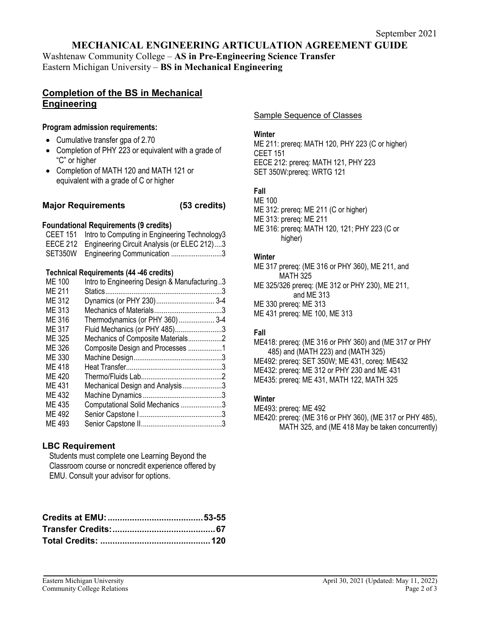### **MECHANICAL ENGINEERING ARTICULATION AGREEMENT GUIDE**

Washtenaw Community College – **AS in Pre-Engineering Science Transfer** Eastern Michigan University – **BS in Mechanical Engineering**

# **Completion of the BS in Mechanical Engineering**

#### **Program admission requirements:**

- Cumulative transfer gpa of 2.70
- Completion of PHY 223 or equivalent with a grade of "C" or higher
- Completion of MATH 120 and MATH 121 or equivalent with a grade of C or higher

### **Major Requirements (53 credits)**

### **Foundational Requirements (9 credits)**

CEET 151 Intro to Computing in Engineering Technology3 EECE 212 Engineering Circuit Analysis (or ELEC 212)....3 SET350W Engineering Communication ...........................3

### **Technical Requirements (44 -46 credits)**

| <b>ME 100</b><br>ME 211 | Intro to Engineering Design & Manufacturing3 |  |
|-------------------------|----------------------------------------------|--|
|                         |                                              |  |
| ME 312                  |                                              |  |
| ME 313                  |                                              |  |
| ME 316                  | Thermodynamics (or PHY 360) 3-4              |  |
| ME 317                  | Fluid Mechanics (or PHY 485)3                |  |
| ME 325                  |                                              |  |
| ME 326                  | Composite Design and Processes 1             |  |
| ME 330                  |                                              |  |
| ME 418                  |                                              |  |
| ME 420                  |                                              |  |
| ME 431                  | Mechanical Design and Analysis3              |  |
| ME 432                  |                                              |  |
| ME 435                  | Computational Solid Mechanics 3              |  |
| ME 492                  |                                              |  |
| ME 493                  |                                              |  |
|                         |                                              |  |

# **LBC Requirement**

Students must complete one Learning Beyond the Classroom course or noncredit experience offered by EMU. Consult your advisor for options.

Sample Sequence of Classes

### **Winter**

ME 211: prereq: MATH 120, PHY 223 (C or higher) CEET 151 EECE 212: prereq: MATH 121, PHY 223 SET 350W:prereq: WRTG 121

# **Fall**

ME 100 ME 312: prereq: ME 211 (C or higher)

ME 313: prereq: ME 211

ME 316: prereq: MATH 120, 121; PHY 223 (C or higher)

#### **Winter**

ME 317 prereq: (ME 316 or PHY 360), ME 211, and MATH 325 ME 325/326 prereq: (ME 312 or PHY 230), ME 211,

 and ME 313 ME 330 prereq: ME 313

ME 431 prereq: ME 100, ME 313

# **Fall**

ME418: prereq: (ME 316 or PHY 360) and (ME 317 or PHY 485) and (MATH 223) and (MATH 325) ME492: prereq: SET 350W; ME 431, coreq: ME432 ME432: prereq: ME 312 or PHY 230 and ME 431 ME435: prereq: ME 431, MATH 122, MATH 325

### **Winter**

ME493: prereq: ME 492 ME420: prereq: (ME 316 or PHY 360), (ME 317 or PHY 485), MATH 325, and (ME 418 May be taken concurrently)